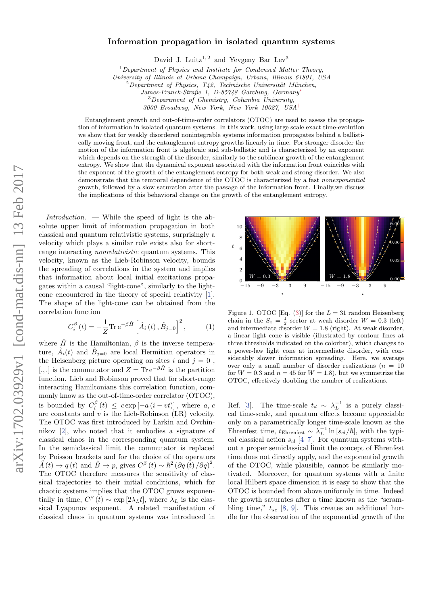## Information propagation in isolated quantum systems

David J. Luitz<sup>1,2</sup> and Yevgeny Bar Lev<sup>3</sup>

 $1$ Department of Physics and Institute for Condensed Matter Theory,

University of Illinois at Urbana-Champaign, Urbana, Illinois 61801, USA

James-Franck-Straße 1, D-85748 Garching, Germany[∗](#page-4-0)

<sup>3</sup>Department of Chemistry, Columbia University,

3000 Broadway, New York, New York 10027, USA[†](#page-4-1)

Entanglement growth and out-of-time-order correlators (OTOC) are used to assess the propagation of information in isolated quantum systems. In this work, using large scale exact time-evolution we show that for weakly disordered nonintegrable systems information propagates behind a ballistically moving front, and the entanglement entropy growths linearly in time. For stronger disorder the motion of the information front is algebraic and sub-ballistic and is characterized by an exponent which depends on the strength of the disorder, similarly to the sublinear growth of the entanglement entropy. We show that the dynamical exponent associated with the information front coincides with the exponent of the growth of the entanglement entropy for both weak and strong disorder. We also demonstrate that the temporal dependence of the OTOC is characterized by a fast nonexponential growth, followed by a slow saturation after the passage of the information front. Finally,we discuss the implications of this behavioral change on the growth of the entanglement entropy.

Introduction. — While the speed of light is the absolute upper limit of information propagation in both classical and quantum relativistic systems, surprisingly a velocity which plays a similar role exists also for shortrange interacting *nonrelativistic* quantum systems. This velocity, known as the Lieb-Robinson velocity, bounds the spreading of correlations in the system and implies that information about local initial excitations propagates within a causal "light-cone", similarly to the lightcone encountered in the theory of special relativity [\[1\]](#page-4-2). The shape of the light-cone can be obtained from the correlation function

$$
C_{i}^{\beta}(t) = -\frac{1}{Z} \text{Tr} \, \mathbf{e}^{-\beta \hat{H}} \left[ \hat{A}_{i}(t), \hat{B}_{j=0} \right]^{2}, \quad (1)
$$

where  $\hat{H}$  is the Hamiltonian,  $\beta$  is the inverse temperature,  $\hat{A}_i(t)$  and  $\hat{B}_{j=0}$  are local Hermitian operators in the Heisenberg picture operating on sites i and  $j = 0$ , [.,.] is the commutator and  $Z = \text{Tr} e^{-\beta \hat{H}}$  is the partition function. Lieb and Robinson proved that for short-range interacting Hamiltonians this correlation function, commonly know as the out-of-time-order correlator (OTOC), is bounded by  $C_i^{\beta}(t) \leq c \exp[-a(i-vt)],$  where a, c are constants and  $v$  is the Lieb-Robinson  $(LR)$  velocity. The OTOC was first introduced by Larkin and Ovchinnikov [\[2\]](#page-4-3), who noted that it embodies a signature of classical chaos in the corresponding quantum system. In the semiclassical limit the commutator is replaced by Poisson brackets and for the choice of the operators  $\hat{A}(t) \rightarrow q(t)$  and  $\hat{B} \rightarrow p$ , gives  $C^{\beta}(t) \sim \hbar^2 (\partial q(t)/\partial q)^2$ . The OTOC therefore measures the sensitivity of classical trajectories to their initial conditions, which for chaotic systems implies that the OTOC grows exponentially in time,  $C^{\beta}(t) \sim \exp[2\lambda_L t]$ , where  $\lambda_L$  is the classical Lyapunov exponent. A related manifestation of classical chaos in quantum systems was introduced in

<span id="page-0-0"></span>

Figure 1. OTOC [Eq. [\(3\)](#page-1-0)] for the  $L = 31$  random Heisenberg chain in the  $S_z = \frac{1}{2}$  sector at weak disorder  $W = 0.3$  (left) and intermediate disorder  $W = 1.8$  (right). At weak disorder, a linear light cone is visible (illustrated by contour lines at three thresholds indicated on the colorbar), which changes to a power-law light cone at intermediate disorder, with considerably slower information spreading. Here, we average over only a small number of disorder realizations ( $n = 10$ ) for  $W = 0.3$  and  $n = 45$  for  $W = 1.8$ , but we symmetrize the OTOC, effectively doubling the number of realizations.

Ref. [\[3\]](#page-4-4). The time-scale  $t_d \sim \lambda_L^{-1}$  is a purely classical time-scale, and quantum effects become appreciable only on a parametrically longer time-scale known as the Ehrenfest time,  $t_{\text{Ehrenfest}} \sim \lambda_L^{-1} \ln[s_{cl}/\hbar]$ , with the typical classical action  $s_{cl}$  [\[4–](#page-4-5)[7\]](#page-4-6). For quantum systems without a proper semiclassical limit the concept of Ehrenfest time does not directly apply, and the exponential growth of the OTOC, while plausible, cannot be similarly motivated. Moreover, for quantum systems with a finite local Hilbert space dimension it is easy to show that the OTOC is bounded from above uniformly in time. Indeed the growth saturates after a time known as the "scrambling time,"  $t_{sc}$  [\[8,](#page-4-7) [9\]](#page-4-8). This creates an additional hurdle for the observation of the exponential growth of the

 $2D$ epartment of Physics, T42, Technische Universität München,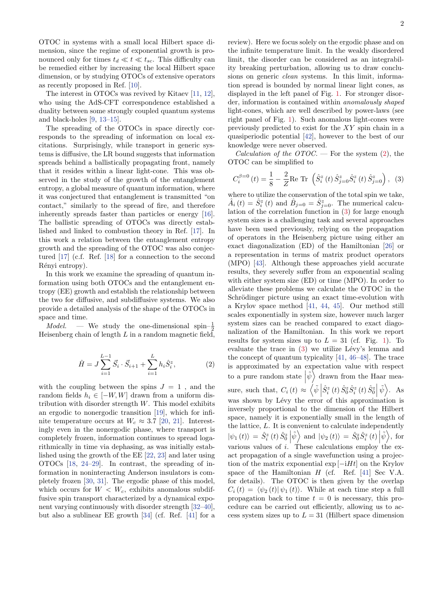OTOC in systems with a small local Hilbert space dimension, since the regime of exponential growth is pronounced only for times  $t_d \ll t \ll t_{sc}$ . This difficulty can be remedied either by increasing the local Hilbert space dimension, or by studying OTOCs of extensive operators as recently proposed in Ref. [\[10\]](#page-4-9).

The interest in OTOCs was revived by Kitaev [\[11,](#page-4-10) [12\]](#page-4-11), who using the AdS-CFT correspondence established a duality between some strongly coupled quantum systems and black-holes [\[9,](#page-4-8) [13](#page-4-12)[–15\]](#page-4-13).

The spreading of the OTOCs in space directly corresponds to the spreading of information on local excitations. Surprisingly, while transport in generic systems is diffusive, the LR bound suggests that information spreads behind a ballistically propagating front, namely that it resides within a linear light-cone. This was observed in the study of the growth of the entanglement entropy, a global measure of quantum information, where it was conjectured that entanglement is transmitted "on contact," similarly to the spread of fire, and therefore inherently spreads faster than particles or energy [\[16\]](#page-4-14). The ballistic spreading of OTOCs was directly established and linked to combustion theory in Ref. [\[17\]](#page-4-15). In this work a relation between the entanglement entropy growth and the spreading of the OTOC was also conjectured [\[17\]](#page-4-15) (c.f. Ref. [\[18\]](#page-4-16) for a connection to the second Rényi entropy).

In this work we examine the spreading of quantum information using both OTOCs and the entanglement entropy (EE) growth and establish the relationship between the two for diffusive, and subdiffusive systems. We also provide a detailed analysis of the shape of the OTOCs in space and time.

*Model.* — We study the one-dimensional spin- $\frac{1}{2}$ Heisenberg chain of length  $L$  in a random magnetic field,

<span id="page-1-1"></span>
$$
\hat{H} = J \sum_{i=1}^{L-1} \vec{S}_i \cdot \vec{S}_{i+1} + \sum_{i=1}^{L} h_i \hat{S}_i^z,
$$
\n(2)

with the coupling between the spins  $J = 1$ , and the random fields  $h_i \in [-W, W]$  drawn from a uniform distribution with disorder strength  $W$ . This model exhibits an ergodic to nonergodic transition [\[19\]](#page-4-17), which for infinite temperature occurs at  $W_c \approx 3.7$  [\[20,](#page-4-18) [21\]](#page-4-19). Interestingly even in the nonergodic phase, where transport is completely frozen, information continues to spread logarithmically in time via dephasing, as was initially established using the growth of the EE [\[22,](#page-4-20) [23\]](#page-4-21) and later using OTOCs [\[18,](#page-4-16) [24–](#page-4-22)[29\]](#page-4-23). In contrast, the spreading of information in noninteracting Anderson insulators is completely frozen [\[30,](#page-4-24) [31\]](#page-4-25). The ergodic phase of this model, which occurs for  $W < W_c$ , exhibits anomalous subdiffusive spin transport characterized by a dynamical exponent varying continuously with disorder strength [\[32–](#page-4-26)[40\]](#page-4-27), but also a sublinear EE growth [\[34\]](#page-4-28) (cf. Ref. [\[41\]](#page-4-29) for a review). Here we focus solely on the ergodic phase and on the infinite temperature limit. In the weakly disordered limit, the disorder can be considered as an integrability breaking perturbation, allowing us to draw conclusions on generic *clean* systems. In this limit, information spread is bounded by normal linear light cones, as displayed in the left panel of Fig. [1.](#page-0-0) For stronger disorder, information is contained within anomalously shaped light-cones, which are well described by power-laws (see right panel of Fig. [1\)](#page-0-0). Such anomalous light-cones were previously predicted to exist for the XY spin chain in a quasiperiodic potential [\[42\]](#page-4-30), however to the best of our knowledge were never observed.

*Calculation of the OTOC.* — For the system  $(2)$ , the OTOC can be simplified to

<span id="page-1-0"></span>
$$
C_i^{\beta=0}(t) = \frac{1}{8} - \frac{2}{Z} \text{Re Tr} \left( \hat{S}_i^z(t) \hat{S}_{j=0}^z \hat{S}_i^z(t) \hat{S}_{j=0}^z \right), (3)
$$

where to utilize the conservation of the total spin we take,  $\hat{A}_i(t) = \hat{S}_i^z(t)$  and  $\hat{B}_{j=0} = \hat{S}_{j=0}^z$ . The numerical calculation of the correlation function in [\(3\)](#page-1-0) for large enough system sizes is a challenging task and several approaches have been used previously, relying on the propagation of operators in the Heisenberg picture using either an exact diagonalization (ED) of the Hamiltonian [\[26\]](#page-4-31) or a representation in terms of matrix product operators (MPO) [\[43\]](#page-4-32). Although these approaches yield accurate results, they severely suffer from an exponential scaling with either system size (ED) or time (MPO). In order to alleviate these problems we calculate the OTOC in the Schrödinger picture using an exact time-evolution with a Krylov space method [\[41,](#page-4-29) [44,](#page-4-33) [45\]](#page-4-34). Our method still scales exponentially in system size, however much larger system sizes can be reached compared to exact diagonalization of the Hamiltonian. In this work we report results for system sizes up to  $L = 31$  (cf. Fig. [1\)](#page-0-0). To evaluate the trace in  $(3)$  we utilize Lévy's lemma and the concept of quantum typicality [\[41,](#page-4-29) [46](#page-4-35)[–48\]](#page-4-36). The trace is approximated by an expectation value with respect to a pure random state  $|\tilde{\psi}\rangle$  drawn from the Haar measure, such that,  $C_i(t) \approx \left\langle \tilde{\psi} \left| \hat{S}_i^z(t) \hat{S}_0^z \hat{S}_i^z(t) \hat{S}_0^z \right| \tilde{\psi} \right\rangle$ . As was shown by Lévy the error of this approximation is inversely proportional to the dimension of the Hilbert space, namely it is exponentially small in the length of the lattice,  $L$ . It is convenient to calculate independently  $|\psi_1(t)\rangle = \hat{S}_i^z(t)\hat{S}_0^z |\tilde{\psi}\rangle$  and  $|\psi_2(t)\rangle = \hat{S}_0^z \hat{S}_i^z(t) |\tilde{\psi}\rangle$ , for various values of  $i$ . These calculations employ the exact propagation of a single wavefunction using a projection of the matrix exponential  $\exp[-iHt]$  on the Krylov space of the Hamiltonian  $H$  (cf. Ref. [\[41\]](#page-4-29) Sec V.A. for details). The OTOC is then given by the overlap  $C_i (t) = \langle \psi_2 (t) | \psi_1 (t) \rangle$ . While at each time step a full propagation back to time  $t = 0$  is necessary, this procedure can be carried out efficiently, allowing us to access system sizes up to  $L = 31$  (Hilbert space dimension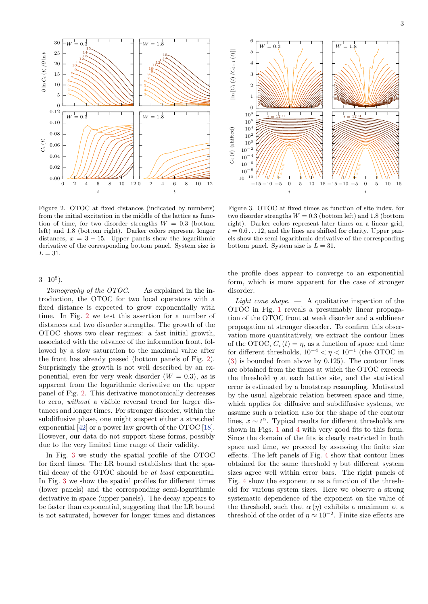0 2 4 6 8 10 12 t 0.00 0.02 0.04 0.06 0.08 0 2 4 6 8 10 12 t Figure 2. OTOC at fixed distances (indicated by numbers) from the initial excitation in the middle of the lattice as function of time, for two disorder strengths  $W = 0.3$  (bottom left) and 1.8 (bottom right). Darker colors represent longer distances,  $x = 3 - 15$ . Upper panels show the logarithmic derivative of the corresponding bottom panel. System size is

 $3 \cdot 10^8$ ).

 $L = 31$ .

Tomography of the  $OTOC$ .  $\rightarrow$  As explained in the introduction, the OTOC for two local operators with a fixed distance is expected to grow exponentially with time. In Fig. [2](#page-2-0) we test this assertion for a number of distances and two disorder strengths. The growth of the OTOC shows two clear regimes: a fast initial growth, associated with the advance of the information front, followed by a slow saturation to the maximal value after the front has already passed (bottom panels of Fig. [2\)](#page-2-0). Surprisingly the growth is not well described by an exponential, even for very weak disorder  $(W = 0.3)$ , as is apparent from the logarithmic derivative on the upper panel of Fig. [2.](#page-2-0) This derivative monotonically decreases to zero, without a visible reversal trend for larger distances and longer times. For stronger disorder, within the subdiffusive phase, one might suspect either a stretched exponential [\[42\]](#page-4-30) or a power law growth of the OTOC [\[18\]](#page-4-16). However, our data do not support these forms, possibly due to the very limited time range of their validity.  $\begin{tabular}{|c|c|c|c|} \hline & $0.12$ & $0.18$ & $0.08$ \\ \hline 0.08 & $0.08$ & $0.012$ & $0.08$ \\ \hline \end{tabular} \hline \begin{tabular}{|c|c|c|} \hline & $0.08$ & $0.08$ & $0.012$ & $0.08$ \\ \hline 0.000 & $2$ & $4$ & $6$ & $10$ & $120$ & $2$ & $4$ & $10$ \\ \hline \end{tabular} \hline \begin{tabular}{|c|c|c|} \hline & $0.08$ & $0.08$$ 

In Fig. [3](#page-2-1) we study the spatial profile of the OTOC for fixed times. The LR bound establishes that the spatial decay of the OTOC should be at least exponential. In Fig. [3](#page-2-1) we show the spatial profiles for different times (lower panels) and the corresponding semi-logarithmic derivative in space (upper panels). The decay appears to be faster than exponential, suggesting that the LR bound



the profile does appear to converge to an exponential form, which is more apparent for the case of stronger disorder.

Light cone shape.  $\overline{\phantom{a}}$  A qualitative inspection of the OTOC in Fig. [1](#page-0-0) reveals a presumably linear propagation of the OTOC front at weak disorder and a sublinear propagation at stronger disorder. To confirm this observation more quantitatively, we extract the contour lines of the OTOC,  $C_i(t) = \eta$ , as a function of space and time for different thresholds,  $10^{-4} < \eta < 10^{-1}$  (the OTOC in [\(3\)](#page-1-0) is bounded from above by 0.125). The contour lines are obtained from the times at which the OTOC exceeds the threshold  $\eta$  at each lattice site, and the statistical error is estimated by a bootstrap resampling. Motivated by the usual algebraic relation between space and time, which applies for diffusive and subdiffusive systems, we assume such a relation also for the shape of the contour lines,  $x \sim t^{\alpha}$ . Typical results for different thresholds are shown in Figs. [1](#page-0-0) and [4](#page-3-0) with very good fits to this form. Since the domain of the fits is clearly restricted in both space and time, we proceed by assessing the finite size effects. The left panels of Fig. [4](#page-3-0) show that contour lines obtained for the same threshold  $\eta$  but different system sizes agree well within error bars. The right panels of Fig. [4](#page-3-0) show the exponent  $\alpha$  as a function of the threshold for various system sizes. Here we observe a strong systematic dependence of the exponent on the value of the threshold, such that  $\alpha(\eta)$  exhibits a maximum at a threshold of the order of  $\eta \approx 10^{-2}$ . Finite size effects are

<span id="page-2-0"></span>

<span id="page-2-1"></span>

6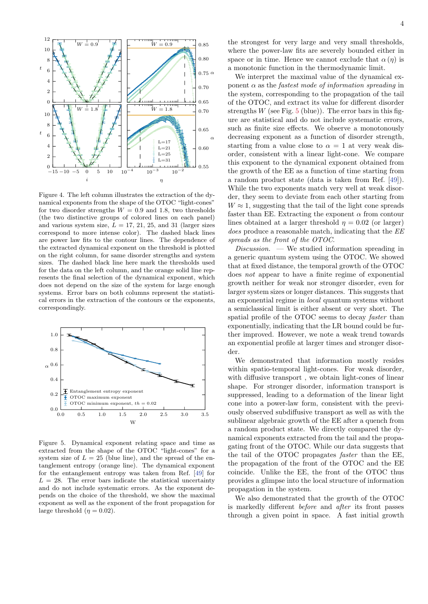<span id="page-3-0"></span>

Figure 4. The left column illustrates the extraction of the dynamical exponents from the shape of the OTOC "light-cones" for two disorder strengths  $W = 0.9$  and 1.8, two thresholds (the two distinctive groups of colored lines on each panel) and various system size,  $L = 17, 21, 25,$  and 31 (larger sizes correspond to more intense color). The dashed black lines are power law fits to the contour lines. The dependence of the extracted dynamical exponent on the threshold is plotted on the right column, for same disorder strengths and system sizes. The dashed black line here mark the thresholds used for the data on the left column, and the orange solid line represents the final selection of the dynamical exponent, which does not depend on the size of the system for large enough systems. Error bars on both columns represent the statistical errors in the extraction of the contours or the exponents, correspondingly.

<span id="page-3-1"></span>

Figure 5. Dynamical exponent relating space and time as extracted from the shape of the OTOC "light-cones" for a system size of  $L = 25$  (blue line), and the spread of the entanglement entropy (orange line). The dynamical exponent for the entanglement entropy was taken from Ref. [\[49\]](#page-5-0) for  $L = 28$ . The error bars indicate the statistical uncertainty and do not include systematic errors. As the exponent depends on the choice of the threshold, we show the maximal exponent as well as the exponent of the front propagation for large threshold  $(\eta = 0.02)$ .

the strongest for very large and very small thresholds, where the power-law fits are severely bounded either in space or in time. Hence we cannot exclude that  $\alpha(\eta)$  is a monotonic function in the thermodynamic limit.

We interpret the maximal value of the dynamical exponent  $\alpha$  as the *fastest mode of information spreading* in the system, corresponding to the propagation of the tail of the OTOC, and extract its value for different disorder strengths  $W$  (see Fig. [5](#page-3-1) (blue)). The error bars in this figure are statistical and do not include systematic errors, such as finite size effects. We observe a monotonously decreasing exponent as a function of disorder strength, starting from a value close to  $\alpha = 1$  at very weak disorder, consistent with a linear light-cone. We compare this exponent to the dynamical exponent obtained from the growth of the EE as a function of time starting from a random product state (data is taken from Ref. [\[49\]](#page-5-0)). While the two exponents match very well at weak disorder, they seem to deviate from each other starting from  $W \approx 1$ , suggesting that the tail of the light cone spreads faster than EE. Extracting the exponent  $\alpha$  from contour lines obtained at a larger threshold  $\eta = 0.02$  (or larger) does produce a reasonable match, indicating that the EE spreads as the front of the OTOC.

 $Discussion.$  — We studied information spreading in a generic quantum system using the OTOC. We showed that at fixed distance, the temporal growth of the OTOC does not appear to have a finite regime of exponential growth neither for weak nor stronger disorder, even for larger system sizes or longer distances. This suggests that an exponential regime in local quantum systems without a semiclassical limit is either absent or very short. The spatial profile of the OTOC seems to decay faster than exponentially, indicating that the LR bound could be further improved. However, we note a weak trend towards an exponential profile at larger times and stronger disorder.

We demonstrated that information mostly resides within spatio-temporal light-cones. For weak disorder, with diffusive transport , we obtain light-cones of linear shape. For stronger disorder, information transport is suppressed, leading to a deformation of the linear light cone into a power-law form, consistent with the previously observed subdiffusive transport as well as with the sublinear algebraic growth of the EE after a quench from a random product state. We directly compared the dynamical exponents extracted from the tail and the propagating front of the OTOC. While our data suggests that the tail of the OTOC propagates faster than the EE, the propagation of the front of the OTOC and the EE coincide. Unlike the EE, the front of the OTOC thus provides a glimpse into the local structure of information propagation in the system.

We also demonstrated that the growth of the OTOC is markedly different before and after its front passes through a given point in space. A fast initial growth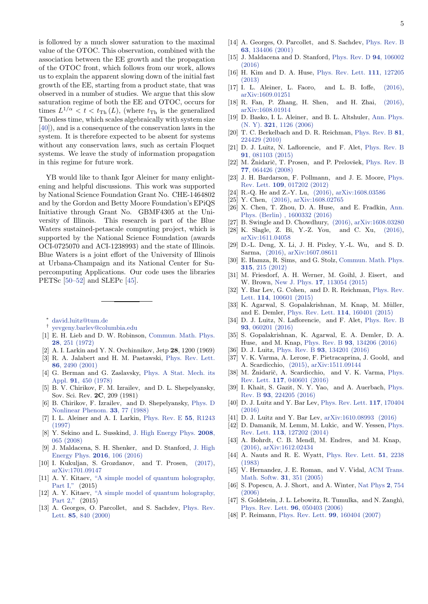is followed by a much slower saturation to the maximal value of the OTOC. This observation, combined with the association between the EE growth and the propagation of the OTOC front, which follows from our work, allows us to explain the apparent slowing down of the initial fast growth of the EE, starting from a product state, that was observed in a number of studies. We argue that this slow saturation regime of both the EE and OTOC, occurs for times  $L^{1/\alpha} < t < t_{\text{Th}}(L)$ , (where  $t_{\text{Th}}$  is the generalized Thouless time, which scales algebraically with system size [\[40\]](#page-4-27)), and is a consequence of the conservation laws in the system. It is therefore expected to be absent for systems without any conservation laws, such as certain Floquet systems. We leave the study of information propagation in this regime for future work.

YB would like to thank Igor Aleiner for many enlightening and helpful discussions. This work was supported by National Science Foundation Grant No. CHE-1464802 and by the Gordon and Betty Moore Foundation's EPiQS Initiative through Grant No. GBMF4305 at the University of Illinois. This research is part of the Blue Waters sustained-petascale computing project, which is supported by the National Science Foundation (awards OCI-0725070 and ACI-1238993) and the state of Illinois. Blue Waters is a joint effort of the University of Illinois at Urbana-Champaign and its National Center for Supercomputing Applications. Our code uses the libraries PETSc [\[50–](#page-5-1)[52\]](#page-5-2) and SLEPc [\[45\]](#page-4-34).

- <span id="page-4-0"></span><sup>∗</sup> [david.luitz@tum.de](mailto:david.luitz@tum.de)
- <span id="page-4-1"></span>† [yevgeny.barlev@columbia.edu](mailto:yevgeny.barlev@columbia.edu)
- <span id="page-4-2"></span>[1] E. H. Lieb and D. W. Robinson, [Commun. Math. Phys.](http://dx.doi.org/10.1007/BF01645779) 28[, 251 \(1972\)](http://dx.doi.org/10.1007/BF01645779)
- <span id="page-4-3"></span>[2] A. I. Larkin and Y. N. Ovchinnikov, Jetp 28, 1200 (1969)
- <span id="page-4-4"></span>[3] R. A. Jalabert and H. M. Pastawski, [Phys. Rev. Lett.](http://dx.doi.org/10.1103/PhysRevLett.86.2490) 86[, 2490 \(2001\)](http://dx.doi.org/10.1103/PhysRevLett.86.2490)
- <span id="page-4-5"></span>[4] G. Berman and G. Zaslavsky, [Phys. A Stat. Mech. its](http://dx.doi.org/10.1016/0378-4371(78)90190-5) Appl. 91[, 450 \(1978\)](http://dx.doi.org/10.1016/0378-4371(78)90190-5)
- [5] B. V. Chirikov, F. M. Izrailev, and D. L. Shepelyansky, Sov. Sci. Rev. 2C, 209 (1981)
- [6] B. Chirikov, F. Izrailev, and D. Shepelyansky, [Phys. D](http://dx.doi.org/10.1016/S0167-2789(98)90011-2) [Nonlinear Phenom.](http://dx.doi.org/10.1016/S0167-2789(98)90011-2) 33, 77 (1988)
- <span id="page-4-6"></span>[7] I. L. Aleiner and A. I. Larkin, [Phys. Rev. E](http://dx.doi.org/10.1103/PhysRevE.55.R1243) 55, R1243 [\(1997\)](http://dx.doi.org/10.1103/PhysRevE.55.R1243)
- <span id="page-4-7"></span>[8] Y. Sekino and L. Susskind, [J. High Energy Phys.](http://dx.doi.org/10.1088/1126-6708/2008/10/065) 2008, [065 \(2008\)](http://dx.doi.org/10.1088/1126-6708/2008/10/065)
- <span id="page-4-8"></span>[9] J. Maldacena, S. H. Shenker, and D. Stanford, [J. High](http://dx.doi.org/10.1007/JHEP08(2016)106) [Energy Phys.](http://dx.doi.org/10.1007/JHEP08(2016)106) 2016, 106 (2016)
- <span id="page-4-9"></span>[10] I. Kukuljan, S. Grozdanov, and T. Prosen, [\(2017\),](http://arxiv.org/abs/1701.09147) [arXiv:1701.09147](http://arxiv.org/abs/1701.09147)
- <span id="page-4-10"></span>[11] A. Y. Kitaev, ["A simple model of quantum holography,](http://online.kitp.ucsb.edu/online/entangled15/kitaev/) [Part I,"](http://online.kitp.ucsb.edu/online/entangled15/kitaev/) (2015)
- <span id="page-4-11"></span>[12] A. Y. Kitaev, ["A simple model of quantum holography,](http://online.kitp.ucsb.edu/online/entangled15/kitaev2/) [Part 2,"](http://online.kitp.ucsb.edu/online/entangled15/kitaev2/) (2015)
- <span id="page-4-12"></span>[13] A. Georges, O. Parcollet, and S. Sachdev, [Phys. Rev.](http://dx.doi.org/10.1103/PhysRevLett.85.840) Lett. 85[, 840 \(2000\)](http://dx.doi.org/10.1103/PhysRevLett.85.840)
- [14] A. Georges, O. Parcollet, and S. Sachdev, [Phys. Rev. B](http://dx.doi.org/10.1103/PhysRevB.63.134406) 63[, 134406 \(2001\)](http://dx.doi.org/10.1103/PhysRevB.63.134406)
- <span id="page-4-13"></span>[15] J. Maldacena and D. Stanford, [Phys. Rev. D](http://dx.doi.org/10.1103/PhysRevD.94.106002) 94, 106002 [\(2016\)](http://dx.doi.org/10.1103/PhysRevD.94.106002)
- <span id="page-4-14"></span>[16] H. Kim and D. A. Huse, [Phys. Rev. Lett.](http://dx.doi.org/10.1103/PhysRevLett.111.127205) 111, 127205 [\(2013\)](http://dx.doi.org/10.1103/PhysRevLett.111.127205)
- <span id="page-4-15"></span>[17] I. L. Aleiner, L. Faoro, and L. B. Ioffe, [\(2016\),](http://arxiv.org/abs/1609.01251) [arXiv:1609.01251](http://arxiv.org/abs/1609.01251)
- <span id="page-4-16"></span>[18] R. Fan, P. Zhang, H. Shen, and H. Zhai, [\(2016\),](http://arxiv.org/abs/1608.01914) [arXiv:1608.01914](http://arxiv.org/abs/1608.01914)
- <span id="page-4-17"></span>[19] D. Basko, I. L. Aleiner, and B. L. Altshuler, [Ann. Phys.](http://dx.doi.org/10.1016/j.aop.2005.11.014) (N. Y). 321[, 1126 \(2006\)](http://dx.doi.org/10.1016/j.aop.2005.11.014)
- <span id="page-4-18"></span>[20] T. C. Berkelbach and D. R. Reichman, [Phys. Rev. B](http://dx.doi.org/10.1103/PhysRevB.81.224429) 81, [224429 \(2010\)](http://dx.doi.org/10.1103/PhysRevB.81.224429)
- <span id="page-4-19"></span>[21] D. J. Luitz, N. Laflorencie, and F. Alet, [Phys. Rev. B](http://dx.doi.org/10.1103/PhysRevB.91.081103) 91[, 081103 \(2015\)](http://dx.doi.org/10.1103/PhysRevB.91.081103)
- <span id="page-4-20"></span>[22] M. Žnidarič, T. Prosen, and P. Prelovšek, [Phys. Rev. B](http://dx.doi.org/10.1103/PhysRevB.77.064426) 77[, 064426 \(2008\)](http://dx.doi.org/10.1103/PhysRevB.77.064426)
- <span id="page-4-21"></span>[23] J. H. Bardarson, F. Pollmann, and J. E. Moore, [Phys.](http://dx.doi.org/10.1103/PhysRevLett.109.017202) Rev. Lett. 109[, 017202 \(2012\)](http://dx.doi.org/10.1103/PhysRevLett.109.017202)
- <span id="page-4-22"></span>[24] R.-Q. He and Z.-Y. Lu, [\(2016\),](http://arxiv.org/abs/1608.03586) [arXiv:1608.03586](http://arxiv.org/abs/1608.03586)
- [25] Y. Chen, [\(2016\),](http://arxiv.org/abs/1608.02765) [arXiv:1608.02765](http://arxiv.org/abs/1608.02765)
- <span id="page-4-31"></span>[26] X. Chen, T. Zhou, D. A. Huse, and E. Fradkin, [Ann.](http://dx.doi.org/ 10.1002/andp.201600332) [Phys. \(Berlin\) , 1600332 \(2016\)](http://dx.doi.org/ 10.1002/andp.201600332)
- [27] B. Swingle and D. Chowdhury, [\(2016\),](http://arxiv.org/abs/1608.03280) [arXiv:1608.03280](http://arxiv.org/abs/1608.03280)
- [28] K. Slagle, Z. Bi, Y.-Z. You, and C. Xu, [\(2016\),](http://arxiv.org/abs/1611.04058) [arXiv:1611.04058](http://arxiv.org/abs/1611.04058)
- <span id="page-4-23"></span>[29] D.-L. Deng, X. Li, J. H. Pixley, Y.-L. Wu, and S. D. Sarma, [\(2016\),](http://arxiv.org/abs/1607.08611) [arXiv:1607.08611](http://arxiv.org/abs/1607.08611)
- <span id="page-4-24"></span>[30] E. Hamza, R. Sims, and G. Stolz, [Commun. Math. Phys.](http://dx.doi.org/10.1007/s00220-012-1544-6) 315[, 215 \(2012\)](http://dx.doi.org/10.1007/s00220-012-1544-6)
- <span id="page-4-25"></span>[31] M. Friesdorf, A. H. Werner, M. Goihl, J. Eisert, and W. Brown, New J. Phys. 17[, 113054 \(2015\)](http://dx.doi.org/ 10.1088/1367-2630/17/11/113054)
- <span id="page-4-26"></span>[32] Y. Bar Lev, G. Cohen, and D. R. Reichman, [Phys. Rev.](http://dx.doi.org/10.1103/PhysRevLett.114.100601) Lett. 114[, 100601 \(2015\)](http://dx.doi.org/10.1103/PhysRevLett.114.100601)
- [33] K. Agarwal, S. Gopalakrishnan, M. Knap, M. Müller, and E. Demler, [Phys. Rev. Lett.](http://dx.doi.org/10.1103/PhysRevLett.114.160401) 114, 160401 (2015)
- <span id="page-4-28"></span>[34] D. J. Luitz, N. Laflorencie, and F. Alet, [Phys. Rev. B](http://dx.doi.org/10.1103/PhysRevB.93.060201) 93[, 060201 \(2016\)](http://dx.doi.org/10.1103/PhysRevB.93.060201)
- [35] S. Gopalakrishnan, K. Agarwal, E. A. Demler, D. A. Huse, and M. Knap, Phys. Rev. B 93[, 134206 \(2016\)](http://dx.doi.org/ 10.1103/PhysRevB.93.134206)
- [36] D. J. Luitz, Phys. Rev. B **93**[, 134201 \(2016\)](http://dx.doi.org/10.1103/PhysRevB.93.134201)
- [37] V. K. Varma, A. Lerose, F. Pietracaprina, J. Goold, and A. Scardicchio, [\(2015\),](http://arxiv.org/abs/1511.09144) [arXiv:1511.09144](http://arxiv.org/abs/1511.09144)
- [38] M. Žnidarič, A. Scardicchio, and V. K. Varma, [Phys.](http://dx.doi.org/10.1103/PhysRevLett.117.040601) Rev. Lett. 117[, 040601 \(2016\)](http://dx.doi.org/10.1103/PhysRevLett.117.040601)
- [39] I. Khait, S. Gazit, N. Y. Yao, and A. Auerbach, [Phys.](http://dx.doi.org/10.1103/PhysRevB.93.224205) Rev. B 93[, 224205 \(2016\)](http://dx.doi.org/10.1103/PhysRevB.93.224205)
- <span id="page-4-27"></span>[40] D. J. Luitz and Y. Bar Lev, [Phys. Rev. Lett.](http://dx.doi.org/10.1103/PhysRevLett.117.170404) 117, 170404 [\(2016\)](http://dx.doi.org/10.1103/PhysRevLett.117.170404)
- <span id="page-4-29"></span>[41] D. J. Luitz and Y. Bar Lev, [arXiv:1610.08993 \(2016\)](http://arxiv.org/abs/1610.08993)
- <span id="page-4-30"></span>[42] D. Damanik, M. Lemm, M. Lukic, and W. Yessen, [Phys.](http://dx.doi.org/ 10.1103/PhysRevLett.113.127202) Rev. Lett. 113[, 127202 \(2014\)](http://dx.doi.org/ 10.1103/PhysRevLett.113.127202)
- <span id="page-4-32"></span>[43] A. Bohrdt, C. B. Mendl, M. Endres, and M. Knap, [\(2016\),](http://arxiv.org/abs/1612.02434) [arXiv:1612.02434](http://arxiv.org/abs/1612.02434)
- <span id="page-4-33"></span>[44] A. Nauts and R. E. Wyatt, [Phys. Rev. Lett.](http://dx.doi.org/10.1103/PhysRevLett.51.2238) 51, 2238 [\(1983\)](http://dx.doi.org/10.1103/PhysRevLett.51.2238)
- <span id="page-4-34"></span>[45] V. Hernandez, J. E. Roman, and V. Vidal, [ACM Trans.](http://dx.doi.org/10.1145/1089014.1089019) [Math. Softw.](http://dx.doi.org/10.1145/1089014.1089019) 31, 351 (2005)
- <span id="page-4-35"></span>[46] S. Popescu, A. J. Short, and A. Winter, [Nat Phys](http://dx.doi.org/10.1038/nphys444) 2, 754 [\(2006\)](http://dx.doi.org/10.1038/nphys444)
- [47] S. Goldstein, J. L. Lebowitz, R. Tumulka, and N. Zanghì, [Phys. Rev. Lett.](http://dx.doi.org/10.1103/PhysRevLett.96.050403) 96, 050403 (2006)
- <span id="page-4-36"></span>[48] P. Reimann, [Phys. Rev. Lett.](http://dx.doi.org/10.1103/PhysRevLett.99.160404) **99**, 160404 (2007)